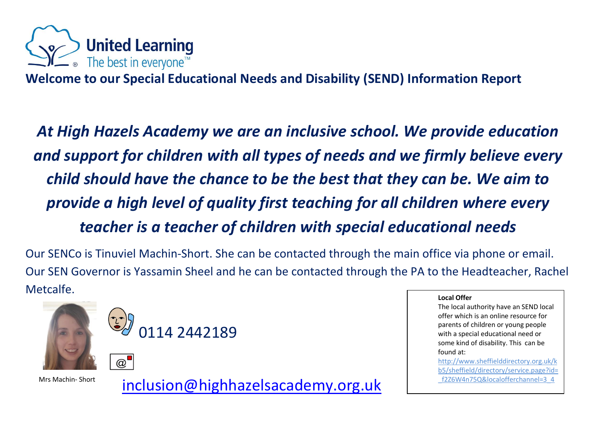

**Welcome to our Special Educational Needs and Disability (SEND) Information Report**

*At High Hazels Academy we are an inclusive school. We provide education and support for children with all types of needs and we firmly believe every child should have the chance to be the best that they can be. We aim to provide a high level of quality first teaching for all children where every teacher is a teacher of children with special educational needs*

Our SENCo is Tinuviel Machin-Short. She can be contacted through the main office via phone or email. Our SEN Governor is Yassamin Sheel and he can be contacted through the PA to the Headteacher, Rachel Metcalfe.



 $\omega$ 

Mrs Machin- Short [inclusion@highhazelsacademy.org.uk](mailto:inclusion@highhazelsacademy.org.uk)

0114 2442189

#### **Local Offer**

The local authority have an SEND local offer which is an online resource for parents of children or young people with a special educational need or some kind of disability. This can be found at:

[http://www.sheffielddirectory.org.uk/k](http://www.sheffielddirectory.org.uk/kb5/sheffield/directory) [b5/sheffield/directory/](http://www.sheffielddirectory.org.uk/kb5/sheffield/directory)service.page?id= \_f2Z6W4n75Q&localofferchannel=3\_4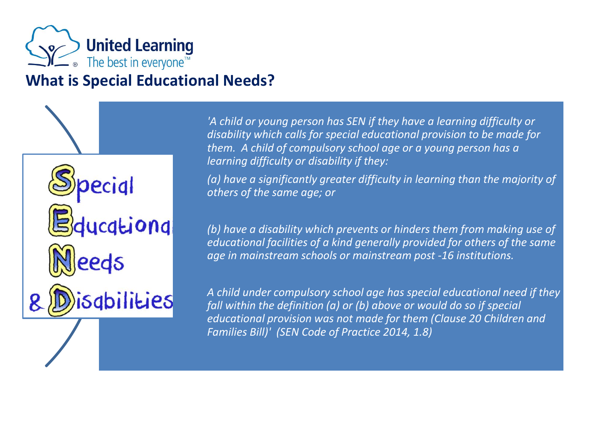

ucationa

sqbilities

# **What is Special Educational Needs?**

*'A child or young person has SEN if they have a learning difficulty or disability which calls for special educational provision to be made for them. A child of compulsory school age or a young person has a learning difficulty or disability if they:*

*(a) have a significantly greater difficulty in learning than the majority of others of the same age; or*

*(b) have a disability which prevents or hinders them from making use of educational facilities of a kind generally provided for others of the same age in mainstream schools or mainstream post -16 institutions.*

*A child under compulsory school age has special educational need if they fall within the definition (a) or (b) above or would do so if special educational provision was not made for them (Clause 20 Children and Families Bill)' (SEN Code of Practice 2014, 1.8)*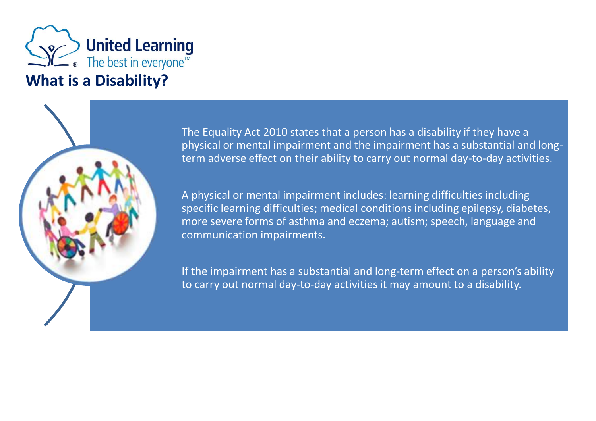

The Equality Act 2010 states that a person has a disability if they have a physical or mental impairment and the impairment has a substantial and longterm adverse effect on their ability to carry out normal day-to-day activities.

A physical or mental impairment includes: learning difficulties including specific learning difficulties; medical conditions including epilepsy, diabetes, more severe forms of asthma and eczema; autism; speech, language and communication impairments.

If the impairment has a substantial and long-term effect on a person's ability to carry out normal day-to-day activities it may amount to a disability.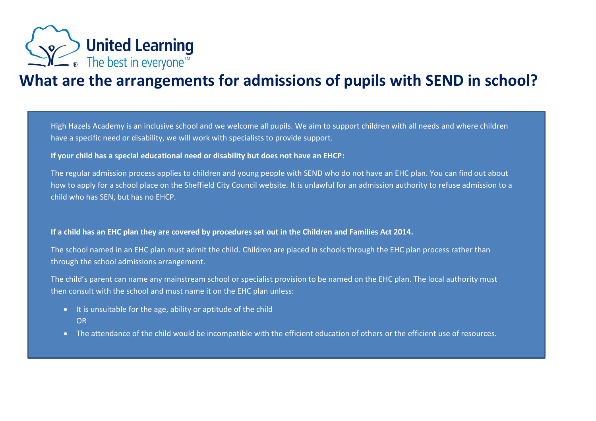

## **What are the arrangements for admissions of pupils with SEND in school?**

High Hazels Academy is an inclusive school and we welcome all pupils. We aim to support children with all needs and where children have a specific need or disability, we will work with specialists to provide support.

**If your child has a special educational need or disability but does not have an EHCP:**

The regular admission process applies to children and young people with SEND who do not have an EHC plan. You can find out about how to apply for a school place on the Sheffield City Council website. It is unlawful for an admission authority to refuse admission to a child who has SEN, but has no EHCP.

### **If a child has an EHC plan they are covered by procedures set out in the Children and Families Act 2014.**

The school named in an EHC plan must admit the child. Children are placed in schools through the EHC plan process rather than through the school admissions arrangement.

The child's parent can name any mainstream school or specialist provision to be named on the EHC plan. The local authority must then consult with the school and must name it on the EHC plan unless:

- It is unsuitable for the age, ability or aptitude of the child OR
- The attendance of the child would be incompatible with the efficient education of others or the efficient use of resources.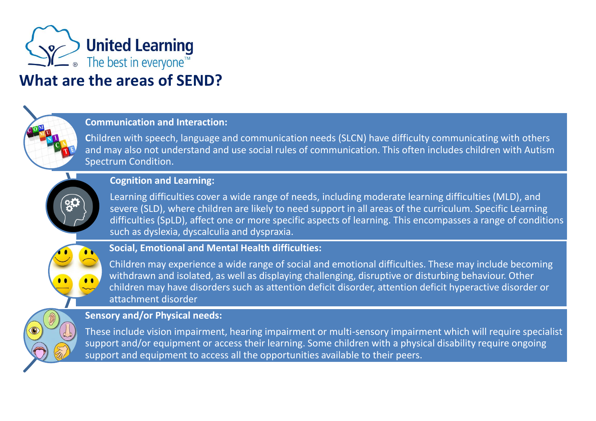

# **What are the areas of SEND?**

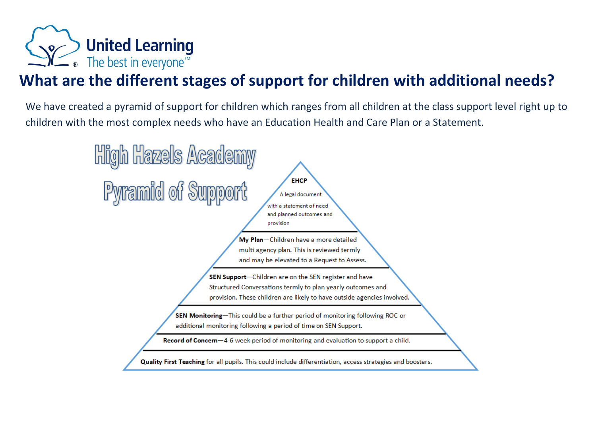

# **What are the different stages of support for children with additional needs?**

We have created a pyramid of support for children which ranges from all children at the class support level right up to children with the most complex needs who have an Education Health and Care Plan or a Statement.

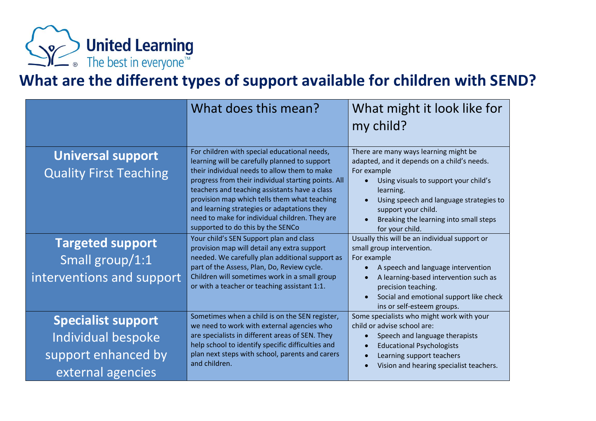

# **What are the different types of support available for children with SEND?**

|                                                                                             | What does this mean?                                                                                                                                                                                                                                                                                                                                                                                   | What might it look like for<br>my child?                                                                                                                                                                                                                                                    |
|---------------------------------------------------------------------------------------------|--------------------------------------------------------------------------------------------------------------------------------------------------------------------------------------------------------------------------------------------------------------------------------------------------------------------------------------------------------------------------------------------------------|---------------------------------------------------------------------------------------------------------------------------------------------------------------------------------------------------------------------------------------------------------------------------------------------|
| <b>Universal support</b><br><b>Quality First Teaching</b>                                   | For children with special educational needs,<br>learning will be carefully planned to support<br>their individual needs to allow them to make<br>progress from their individual starting points. All<br>teachers and teaching assistants have a class<br>provision map which tells them what teaching<br>and learning strategies or adaptations they<br>need to make for individual children. They are | There are many ways learning might be<br>adapted, and it depends on a child's needs.<br>For example<br>Using visuals to support your child's<br>learning.<br>Using speech and language strategies to<br>support your child.<br>Breaking the learning into small steps                       |
| <b>Targeted support</b><br>Small group/1:1<br>interventions and support                     | supported to do this by the SENCo<br>Your child's SEN Support plan and class<br>provision map will detail any extra support<br>needed. We carefully plan additional support as<br>part of the Assess, Plan, Do, Review cycle.<br>Children will sometimes work in a small group<br>or with a teacher or teaching assistant 1:1.                                                                         | for your child.<br>Usually this will be an individual support or<br>small group intervention.<br>For example<br>A speech and language intervention<br>A learning-based intervention such as<br>precision teaching.<br>Social and emotional support like check<br>ins or self-esteem groups. |
| <b>Specialist support</b><br>Individual bespoke<br>support enhanced by<br>external agencies | Sometimes when a child is on the SEN register,<br>we need to work with external agencies who<br>are specialists in different areas of SEN. They<br>help school to identify specific difficulties and<br>plan next steps with school, parents and carers<br>and children.                                                                                                                               | Some specialists who might work with your<br>child or advise school are:<br>Speech and language therapists<br><b>Educational Psychologists</b><br>Learning support teachers<br>Vision and hearing specialist teachers.                                                                      |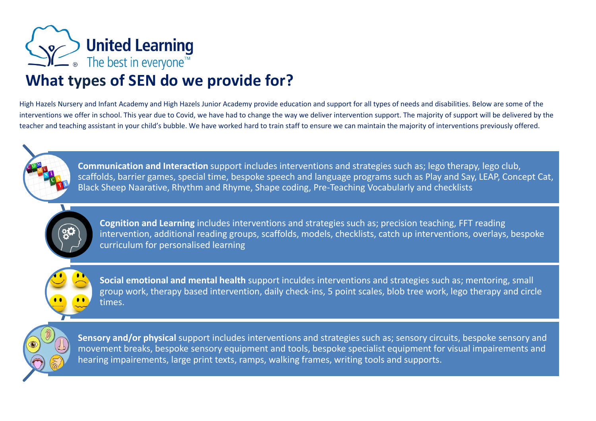

## **What types of SEN do we provide for?**

High Hazels Nursery and Infant Academy and High Hazels Junior Academy provide education and support for all types of needs and disabilities. Below are some of the interventions we offer in school. This year due to Covid, we have had to change the way we deliver intervention support. The majority of support will be delivered by the teacher and teaching assistant in your child's bubble. We have worked hard to train staff to ensure we can maintain the majority of interventions previously offered.



**Communication and Interaction** support includes interventions and strategies such as; lego therapy, lego club, scaffolds, barrier games, special time, bespoke speech and language programs such as Play and Say, LEAP, Concept Cat, Black Sheep Naarative, Rhythm and Rhyme, Shape coding, Pre-Teaching Vocabularly and checklists



**Cognition and Learning** includes interventions and strategies such as; precision teaching, FFT reading intervention, additional reading groups, scaffolds, models, checklists, catch up interventions, overlays, bespoke curriculum for personalised learning



**Social emotional and mental health** support inculdes interventions and strategies such as; mentoring, small group work, therapy based intervention, daily check-ins, 5 point scales, blob tree work, lego therapy and circle times.



**Sensory and/or physical** support includes interventions and strategies such as; sensory circuits, bespoke sensory and movement breaks, bespoke sensory equipment and tools, bespoke specialist equipment for visual impairements and hearing impairements, large print texts, ramps, walking frames, writing tools and supports.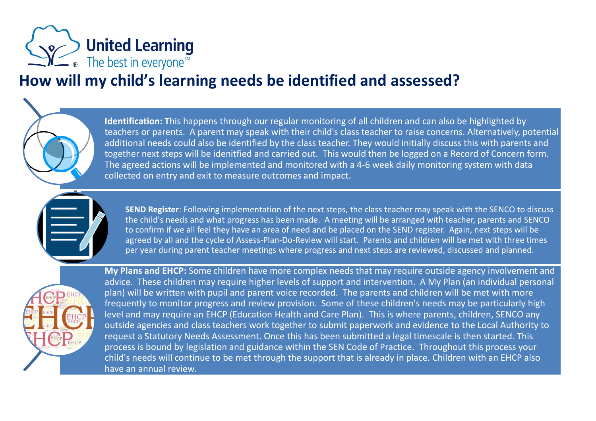

## **How will my child's learning needs be identified and assessed?**

**Identification: T**his happens through our regular monitoring of all children and can also be highlighted by teachers or parents. A parent may speak with their child's class teacher to raise concerns. Alternatively, potential additional needs could also be identified by the class teacher. They would initially discuss this with parents and together next steps will be idenitfied and carried out. This would then be logged on a Record of Concern form. The agreed actions will be implemented and monitored with a 4-6 week daily monitoring system with data collected on entry and exit to measure outcomes and impact.



**My Plans and EHCP:** Some children have more complex needs that may require outside agency involvement and advice. These children may require higher levels of support and intervention. A My Plan (an individual personal plan) will be written with pupil and parent voice recorded. The parents and children will be met with more frequently to monitor progress and review provision. Some of these children's needs may be particularly high level and may require an EHCP (Education Health and Care Plan). This is where parents, children, SENCO any outside agencies and class teachers work together to submit paperwork and evidence to the Local Authority to request a Statutory Needs Assessment. Once this has been submitted a legal timescale is then started. This process is bound by legislation and guidance within the SEN Code of Practice. Throughout this process your child's needs will continue to be met through the support that is already in place. Children with an EHCP also have an annual review.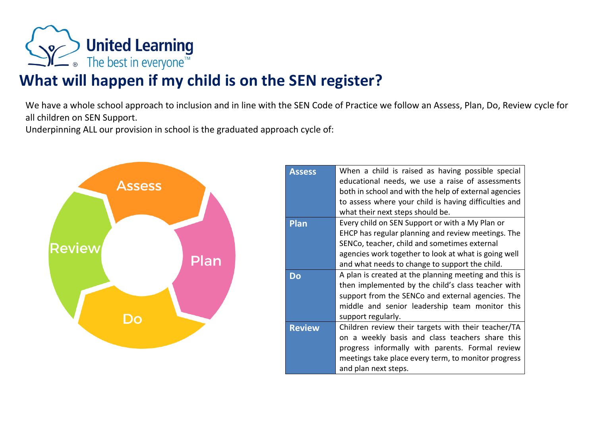

# **What will happen if my child is on the SEN register?**

We have a whole school approach to inclusion and in line with the SEN Code of Practice we follow an Assess, Plan, Do, Review cycle for all children on SEN Support.

Underpinning ALL our provision in school is the graduated approach cycle of:



| When a child is raised as having possible special     |  |
|-------------------------------------------------------|--|
| educational needs, we use a raise of assessments      |  |
| both in school and with the help of external agencies |  |
| to assess where your child is having difficulties and |  |
| what their next steps should be.                      |  |
| Every child on SEN Support or with a My Plan or       |  |
| EHCP has regular planning and review meetings. The    |  |
| SENCo, teacher, child and sometimes external          |  |
| agencies work together to look at what is going well  |  |
| and what needs to change to support the child.        |  |
| A plan is created at the planning meeting and this is |  |
| then implemented by the child's class teacher with    |  |
| support from the SENCo and external agencies. The     |  |
| middle and senior leadership team monitor this        |  |
| support regularly.                                    |  |
| Children review their targets with their teacher/TA   |  |
| on a weekly basis and class teachers share this       |  |
| progress informally with parents. Formal review       |  |
| meetings take place every term, to monitor progress   |  |
| and plan next steps.                                  |  |
|                                                       |  |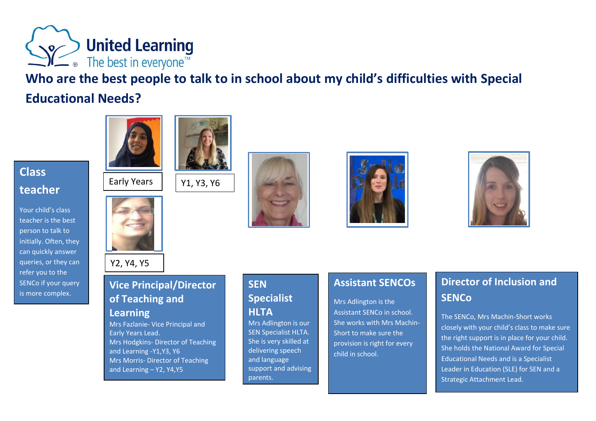

**Who are the best people to talk to in school about my child's difficulties with Special Educational Needs?** 

## **Class teacher**

Your child's class teacher is the best person to talk to initially. Often, they can quickly answer queries, or they can refer you to the SENCo if your query is more complex.





Y2, Y4, Y5

## **Vice Principal/Director of Teaching and**

Y1, Y3, Y6

### **Learning**

Mrs Fazlanie- Vice Principal and Early Years Lead. Mrs Hodgkins- Director of Teaching and Learning -Y1,Y3, Y6 Mrs Morris- Director of Teaching and Learning – Y2, Y4,Y5



**SEN** 

**HLTA**

parents.

**Specialist** 

Mrs Adlington is our SEN Specialist HLTA. She is very skilled at delivering speech and language

support and advising





## **Assistant SENCOs**

Mrs Adlington is the Assistant SENCo in school. She works with Mrs Machin-Short to make sure the provision is right for every child in school.

## **Director of Inclusion and SENCo**

The SENCo, Mrs Machin-Short works closely with your child's class to make sure the right support is in place for your child. She holds the National Award for Special Educational Needs and is a Specialist Leader in Education (SLE) for SEN and a Strategic Attachment Lead.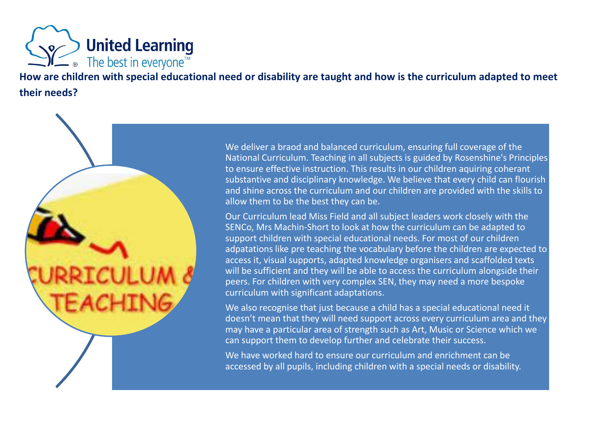

**How are children with special educational need or disability are taught and how is the curriculum adapted to meet their needs?**

We deliver a braod and balanced curriculum, ensuring full coverage of the National Curriculum. Teaching in all subjects is guided by Rosenshine's Principles to ensure effective instruction. This results in our children aquiring coherant substantive and disciplinary knowledge. We believe that every child can flourish and shine across the curriculum and our children are provided with the skills to allow them to be the best they can be.

Our Curriculum lead Miss Field and all subject leaders work closely with the SENCo, Mrs Machin-Short to look at how the curriculum can be adapted to support children with special educational needs. For most of our children adpatations like pre teaching the vocabulary before the children are expected to access it, visual supports, adapted knowledge organisers and scaffolded texts will be sufficient and they will be able to access the curriculum alongside their peers. For children with very complex SEN, they may need a more bespoke curriculum with significant adaptations.

We also recognise that just because a child has a special educational need it doesn't mean that they will need support across every curriculum area and they may have a particular area of strength such as Art, Music or Science which we can support them to develop further and celebrate their success.

We have worked hard to ensure our curriculum and enrichment can be accessed by all pupils, including children with a special needs or disability.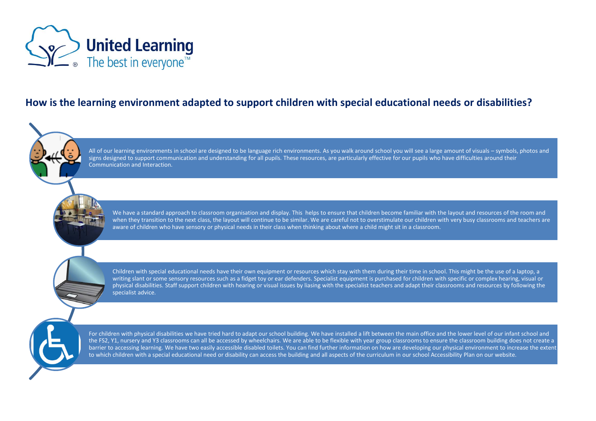

## **How is the learning environment adapted to support children with special educational needs or disabilities?**

All of our learning environments in school are designed to be language rich environments. As you walk around school you will see a large amount of visuals – symbols, photos and signs designed to support communication and understanding for all pupils. These resources, are particularly effective for our pupils who have difficulties around their Communication and Interaction.

We have a standard approach to classroom organisation and display. This helps to ensure that children become familiar with the layout and resources of the room and when they transition to the next class, the layout will continue to be similar. We are careful not to overstimulate our children with very busy classrooms and teachers are aware of children who have sensory or physical needs in their class when thinking about where a child might sit in a classroom.

Children with special educational needs have their own equipment or resources which stay with them during their time in school. This might be the use of a laptop, a writing slant or some sensory resources such as a fidget toy or ear defenders. Specialist equipment is purchased for children with specific or complex hearing, visual or physical disabilities. Staff support children with hearing or visual issues by liasing with the specialist teachers and adapt their classrooms and resources by following the specialist advice.

For children with physical disabilities we have tried hard to adapt our school building. We have installed a lift between the main office and the lower level of our infant school and the FS2, Y1, nursery and Y3 classrooms can all be accessed by wheelchairs. We are able to be flexible with year group classrooms to ensure the classroom building does not create a barrier to accessing learning. We have two easily accessible disabled toilets. You can find further information on how are developing our physical environment to increase the extent to which children with a special educational need or disability can access the building and all aspects of the curriculum in our school Accessibility Plan on our website.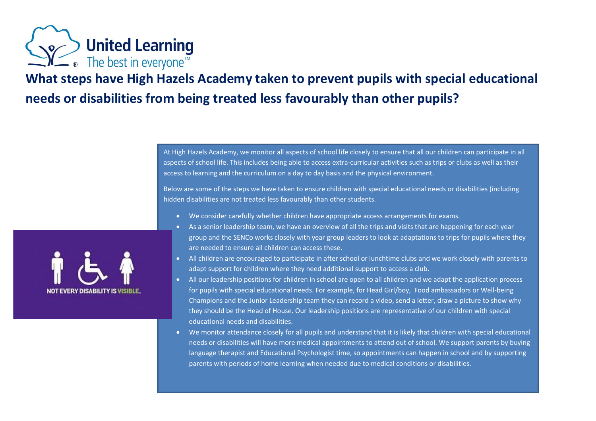

## **What steps have High Hazels Academy taken to prevent pupils with special educational needs or disabilities from being treated less favourably than other pupils?**

At High Hazels Academy, we monitor all aspects of school life closely to ensure that all our children can participate in all aspects of school life. This includes being able to access extra-curricular activities such as trips or clubs as well as their access to learning and the curriculum on a day to day basis and the physical environment.

Below are some of the steps we have taken to ensure children with special educational needs or disabilities (including hidden disabilities are not treated less favourably than other students.

- We consider carefully whether children have appropriate access arrangements for exams.
- As a senior leadership team, we have an overview of all the trips and visits that are happening for each year group and the SENCo works closely with year group leaders to look at adaptations to trips for pupils where they are needed to ensure all children can access these.
- All children are encouraged to participate in after school or lunchtime clubs and we work closely with parents to adapt support for children where they need additional support to access a club.
- All our leadership positions for children in school are open to all children and we adapt the application process for pupils with special educational needs. For example, for Head Girl/boy, Food ambassadors or Well-being Champions and the Junior Leadership team they can record a video, send a letter, draw a picture to show why they should be the Head of House. Our leadership positions are representative of our children with special educational needs and disabilities.
- We monitor attendance closely for all pupils and understand that it is likely that children with special educational needs or disabilities will have more medical appointments to attend out of school. We support parents by buying language therapist and Educational Psychologist time, so appointments can happen in school and by supporting parents with periods of home learning when needed due to medical conditions or disabilities.

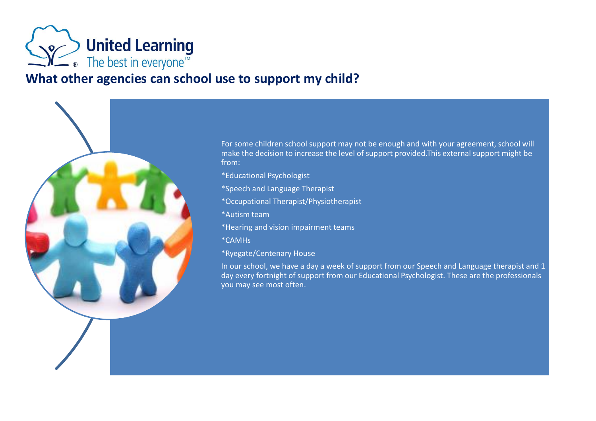

## **What other agencies can school use to support my child?**

For some children school support may not be enough and with your agreement, school will make the decision to increase the level of support provided.This external support might be from:

\*Educational Psychologist \*Speech and Language Therapist \*Occupational Therapist/Physiotherapist \*Autism team \*Hearing and vision impairment teams \*CAMHs \*Ryegate/Centenary House

In our school, we have a day a week of support from our Speech and Language therapist and 1 day every fortnight of support from our Educational Psychologist. These are the professionals you may see most often.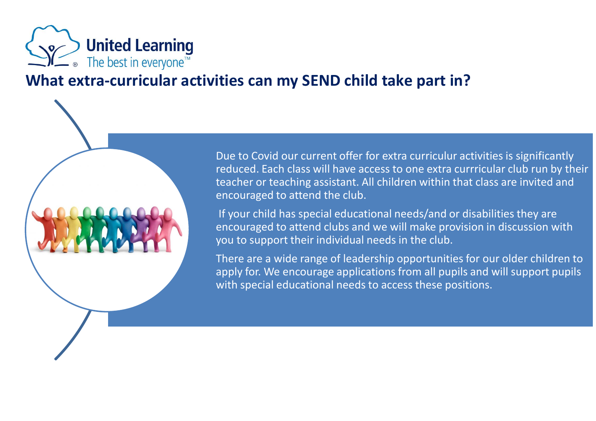

## **What extra-curricular activities can my SEND child take part in?**

Due to Covid our current offer for extra curriculur activities is significantly reduced. Each class will have access to one extra currricular club run by their teacher or teaching assistant. All children within that class are invited and encouraged to attend the club.

If your child has special educational needs/and or disabilities they are encouraged to attend clubs and we will make provision in discussion with you to support their individual needs in the club.

There are a wide range of leadership opportunities for our older children to apply for. We encourage applications from all pupils and will support pupils with special educational needs to access these positions.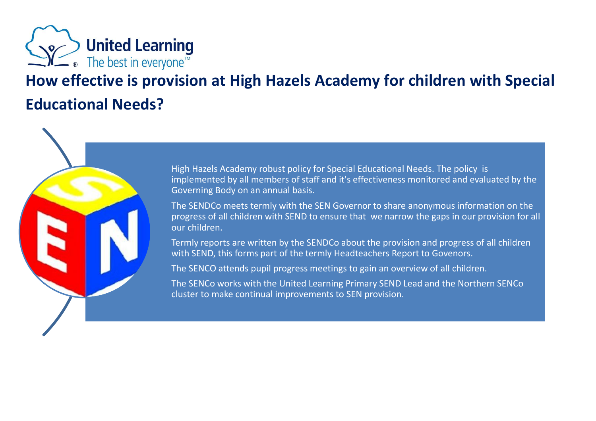

# **How effective is provision at High Hazels Academy for children with Special Educational Needs?**

High Hazels Academy robust policy for Special Educational Needs. The policy is implemented by all members of staff and it's effectiveness monitored and evaluated by the Governing Body on an annual basis.

The SENDCo meets termly with the SEN Governor to share anonymous information on the progress of all children with SEND to ensure that we narrow the gaps in our provision for all our children.

Termly reports are written by the SENDCo about the provision and progress of all children with SEND, this forms part of the termly Headteachers Report to Govenors.

The SENCO attends pupil progress meetings to gain an overview of all children.

The SENCo works with the United Learning Primary SEND Lead and the Northern SENCo cluster to make continual improvements to SEN provision.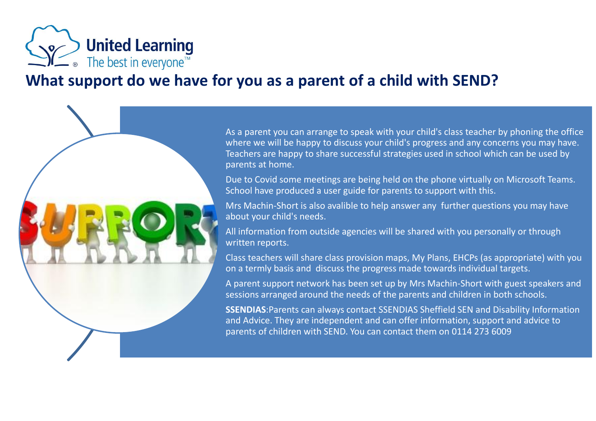

# **What support do we have for you as a parent of a child with SEND?**

As a parent you can arrange to speak with your child's class teacher by phoning the office where we will be happy to discuss your child's progress and any concerns you may have. Teachers are happy to share successful strategies used in school which can be used by parents at home.

Due to Covid some meetings are being held on the phone virtually on Microsoft Teams. School have produced a user guide for parents to support with this.

Mrs Machin-Short is also avalible to help answer any further questions you may have about your child's needs.

All information from outside agencies will be shared with you personally or through written reports.

Class teachers will share class provision maps, My Plans, EHCPs (as appropriate) with you on a termly basis and discuss the progress made towards individual targets.

A parent support network has been set up by Mrs Machin-Short with guest speakers and sessions arranged around the needs of the parents and children in both schools.

**SSENDIAS**:Parents can always contact SSENDIAS Sheffield SEN and Disability Information and Advice. They are independent and can offer information, support and advice to parents of children with SEND. You can contact them on 0114 273 6009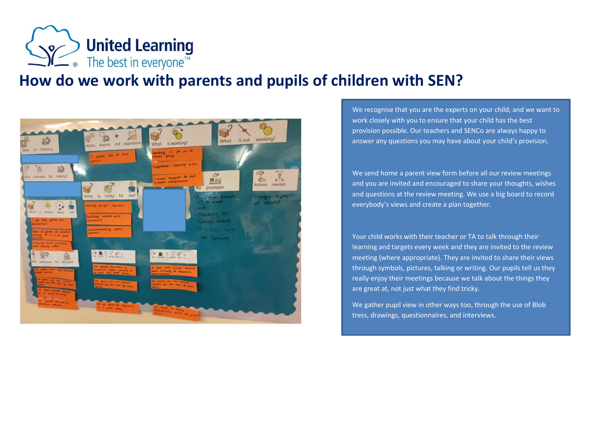

## **How do we work with parents and pupils of children with SEN?**



We recognise that you are the experts on your child, and we want to work closely with you to ensure that your child has the best provision possible. Our teachers and SENCo are always happy to answer any questions you may have about your child's provision.

We send home a parent view form before all our review meetings and you are invited and encouraged to share your thoughts, wishes and questions at the review meeting. We use a big board to record everybody's views and create a plan together.

Your child works with their teacher or TA to talk through their learning and targets every week and they are invited to the review meeting (where appropriate). They are invited to share their views through symbols, pictures, talking or writing. Our pupils tell us they really enjoy their meetings because we talk about the things they are great at, not just what they find tricky.

We gather pupil view in other ways too, through the use of Blob tress, drawings, questionnaires, and interviews.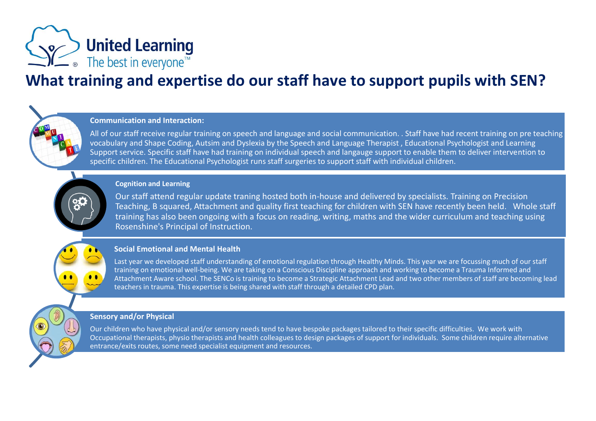

# **What training and expertise do our staff have to support pupils with SEN?**

### **Communication and Interaction:**

All of our staff receive regular training on speech and language and social communication. . Staff have had recent training on pre teaching vocabulary and Shape Coding, Autsim and Dyslexia by the Speech and Language Therapist , Educational Psychologist and Learning Support service. Specific staff have had training on individual speech and langauge support to enable them to deliver intervention to specific children. The Educational Psychologist runs staff surgeries to support staff with individual children.

#### **Cognition and Learning**

Our staff attend regular update traning hosted both in-house and delivered by specialists. Training on Precision Teaching, B squared, Attachment and quality first teaching for children with SEN have recently been held. Whole staff training has also been ongoing with a focus on reading, writing, maths and the wider curriculum and teaching using Rosenshine's Principal of Instruction.

#### **Social Emotional and Mental Health**

Last year we developed staff understanding of emotional regulation through Healthy Minds. This year we are focussing much of our staff training on emotional well-being. We are taking on a Conscious Discipline approach and working to become a Trauma Informed and Attachment Aware school. The SENCo is training to become a Strategic Attachment Lead and two other members of staff are becoming lead teachers in trauma. This expertise is being shared with staff through a detailed CPD plan.

### **Sensory and/or Physical**

Our children who have physical and/or sensory needs tend to have bespoke packages tailored to their specific difficulties. We work with Occupational therapists, physio therapists and health colleagues to design packages of support for individuals. Some children require alternative entrance/exits routes, some need specialist equipment and resources.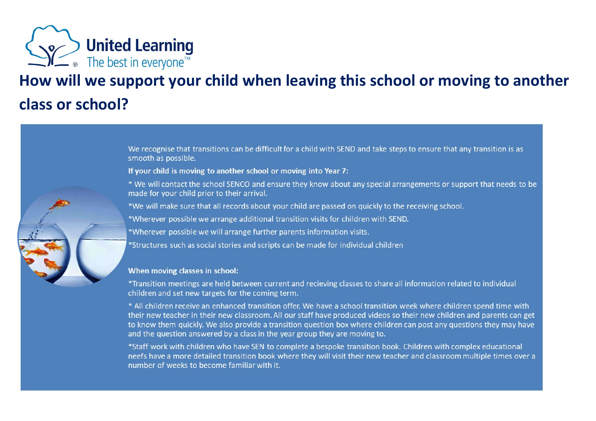

# **How will we support your child when leaving this school or moving to another class or school?**

We recognise that transitions can be difficult for a child with SEND and take steps to ensure that any transition is as smooth as possible.

If your child is moving to another school or moving into Year 7:

\* We will contact the school SENCO and ensure they know about any special arrangements or support that needs to be made for your child prior to their arrival.

\*We will make sure that all records about your child are passed on quickly to the receiving school.

\*Wherever possible we arrange additional transition visits for children with SEND.

\*Wherever possible we will arrange further parents information visits.

\*Structures such as social stories and scripts can be made for individual children

### When moving classes in school:

\*Transition meetings are held between current and recieving classes to share all information related to individual children and set new targets for the coming term.

\* All children receive an enhanced transition offer. We have a school transition week where children spend time with their new teacher in their new classroom. All our staff have produced videos so their new children and parents can get to know them quickly. We also provide a transition question box where children can post any questions they may have and the question answered by a class in the year group they are moving to.

\*Staff work with children who have SEN to complete a bespoke transition book. Children with complex educational neefs have a more detailed transition book where they will visit their new teacher and classroom multiple times over a number of weeks to become familiar with it.